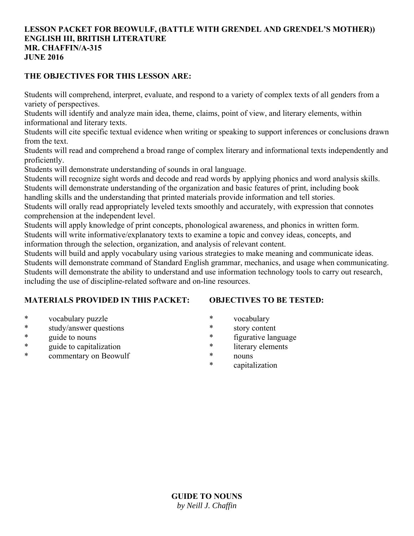#### **LESSON PACKET FOR BEOWULF, (BATTLE WITH GRENDEL AND GRENDEL'S MOTHER)) ENGLISH III, BRITISH LITERATURE MR. CHAFFIN/A-315 JUNE 2016**

### **THE OBJECTIVES FOR THIS LESSON ARE:**

Students will comprehend, interpret, evaluate, and respond to a variety of complex texts of all genders from a variety of perspectives.

Students will identify and analyze main idea, theme, claims, point of view, and literary elements, within informational and literary texts.

Students will cite specific textual evidence when writing or speaking to support inferences or conclusions drawn from the text.

Students will read and comprehend a broad range of complex literary and informational texts independently and proficiently.

Students will demonstrate understanding of sounds in oral language.

Students will recognize sight words and decode and read words by applying phonics and word analysis skills. Students will demonstrate understanding of the organization and basic features of print, including book

handling skills and the understanding that printed materials provide information and tell stories.

Students will orally read appropriately leveled texts smoothly and accurately, with expression that connotes comprehension at the independent level.

Students will apply knowledge of print concepts, phonological awareness, and phonics in written form. Students will write informative/explanatory texts to examine a topic and convey ideas, concepts, and information through the selection, organization, and analysis of relevant content.

Students will build and apply vocabulary using various strategies to make meaning and communicate ideas. Students will demonstrate command of Standard English grammar, mechanics, and usage when communicating. Students will demonstrate the ability to understand and use information technology tools to carry out research, including the use of discipline-related software and on-line resources.

# **MATERIALS PROVIDED IN THIS PACKET:**

# **OBJECTIVES TO BE TESTED:**

- \* vocabulary puzzle
- \* study/answer questions
- \* guide to nouns
- \* guide to capitalization
- \* commentary on Beowulf
- \* vocabulary
- \* story content
- \* figurative language
- \* literary elements
- \* nouns
- \* capitalization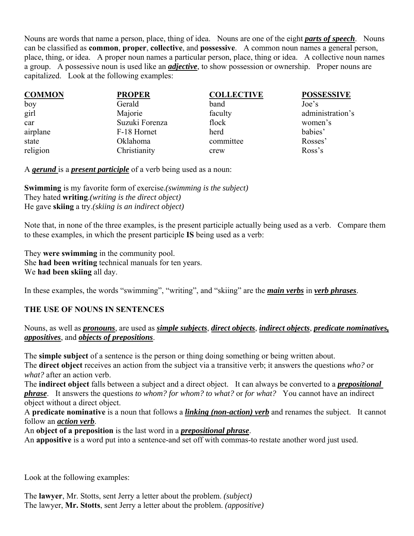Nouns are words that name a person, place, thing of idea. Nouns are one of the eight *parts of speech*. Nouns can be classified as **common**, **proper**, **collective**, and **possessive**. A common noun names a general person, place, thing, or idea. A proper noun names a particular person, place, thing or idea. A collective noun names a group. A possessive noun is used like an *adjective*, to show possession or ownership. Proper nouns are capitalized. Look at the following examples:

| <b>COMMON</b> | <b>PROPER</b>  | <b>COLLECTIVE</b> | <b>POSSESSIVE</b> |
|---------------|----------------|-------------------|-------------------|
| boy           | Gerald         | band              | Joe's             |
| girl          | Majorie        | faculty           | administration's  |
| car           | Suzuki Forenza | flock             | women's           |
| airplane      | F-18 Hornet    | herd              | babies'           |
| state         | Oklahoma       | committee         | Rosses'           |
| religion      | Christianity   | crew              | Ross's            |

A *gerund* is a *present participle* of a verb being used as a noun:

**Swimming** is my favorite form of exercise.*(swimming is the subject)* They hated **writing**.*(writing is the direct object)* He gave **skiing** a try.*(skiing is an indirect object)*

Note that, in none of the three examples, is the present participle actually being used as a verb. Compare them to these examples, in which the present participle **IS** being used as a verb:

They **were swimming** in the community pool. She **had been writing** technical manuals for ten years. We **had been skiing** all day.

In these examples, the words "swimming", "writing", and "skiing" are the *main verbs* in *verb phrases*.

# **THE USE OF NOUNS IN SENTENCES**

# Nouns, as well as *pronouns*, are used as *simple subjects*, *direct objects*, *indirect objects*, *predicate nominatives, appositives*, and *objects of prepositions*.

The **simple subject** of a sentence is the person or thing doing something or being written about. The **direct object** receives an action from the subject via a transitive verb; it answers the questions *who?* or *what?* after an action verb.

The **indirect object** falls between a subject and a direct object. It can always be converted to a *prepositional phrase*. It answers the questions *to whom? for whom? to what?* or *for what?* You cannot have an indirect object without a direct object.

A **predicate nominative** is a noun that follows a *linking (non-action) verb* and renames the subject. It cannot follow an *action verb*.

An **object of a preposition** is the last word in a *prepositional phrase*.

An **appositive** is a word put into a sentence-and set off with commas-to restate another word just used.

Look at the following examples:

The **lawyer**, Mr. Stotts, sent Jerry a letter about the problem. *(subject)* The lawyer, **Mr. Stotts**, sent Jerry a letter about the problem. *(appositive)*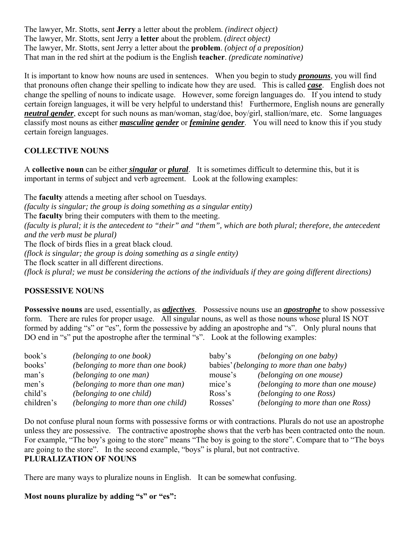The lawyer, Mr. Stotts, sent **Jerry** a letter about the problem. *(indirect object)* The lawyer, Mr. Stotts, sent Jerry a **letter** about the problem. *(direct object)* The lawyer, Mr. Stotts, sent Jerry a letter about the **problem**. *(object of a preposition)* That man in the red shirt at the podium is the English **teacher**. *(predicate nominative)*

It is important to know how nouns are used in sentences. When you begin to study *pronouns*, you will find that pronouns often change their spelling to indicate how they are used. This is called *case*. English does not change the spelling of nouns to indicate usage. However, some foreign languages do. If you intend to study certain foreign languages, it will be very helpful to understand this! Furthermore, English nouns are generally *neutral gender*, except for such nouns as man/woman, stag/doe, boy/girl, stallion/mare, etc. Some languages classify most nouns as either *masculine gender* or *feminine gender*. You will need to know this if you study certain foreign languages.

### **COLLECTIVE NOUNS**

A **collective noun** can be either *singular* or *plural*. It is sometimes difficult to determine this, but it is important in terms of subject and verb agreement. Look at the following examples:

The **faculty** attends a meeting after school on Tuesdays. *(faculty is singular; the group is doing something as a singular entity)* The **faculty** bring their computers with them to the meeting. *(faculty is plural; it is the antecedent to "their" and "them", which are both plural; therefore, the antecedent and the verb must be plural)* The flock of birds flies in a great black cloud. *(flock is singular; the group is doing something as a single entity)* The flock scatter in all different directions. *(flock is plural; we must be considering the actions of the individuals if they are going different directions)*

### **POSSESSIVE NOUNS**

**Possessive nouns** are used, essentially, as *adjectives*. Possessive nouns use an *apostrophe* to show possessive form. There are rules for proper usage. All singular nouns, as well as those nouns whose plural IS NOT formed by adding "s" or "es", form the possessive by adding an apostrophe and "s". Only plural nouns that DO end in "s" put the apostrophe after the terminal "s". Look at the following examples:

| book's     | (belonging to one book)            | baby's  | <i>(belonging on one baby)</i>            |
|------------|------------------------------------|---------|-------------------------------------------|
| books'     | (belonging to more than one book)  |         | babies' (belonging to more than one baby) |
| man's      | <i>(belonging to one man)</i>      | mouse's | (belonging on one mouse)                  |
| men's      | (belonging to more than one man)   | mice's  | (belonging to more than one mouse)        |
| child's    | (belonging to one child)           | Ross's  | (belonging to one Ross)                   |
| children's | (belonging to more than one child) | Rosses' | (belonging to more than one Ross)         |

Do not confuse plural noun forms with possessive forms or with contractions. Plurals do not use an apostrophe unless they are possessive. The contractive apostrophe shows that the verb has been contracted onto the noun. For example, "The boy's going to the store" means "The boy is going to the store". Compare that to "The boys are going to the store". In the second example, "boys" is plural, but not contractive. **PLURALIZATION OF NOUNS**

There are many ways to pluralize nouns in English. It can be somewhat confusing.

### **Most nouns pluralize by adding "s" or "es":**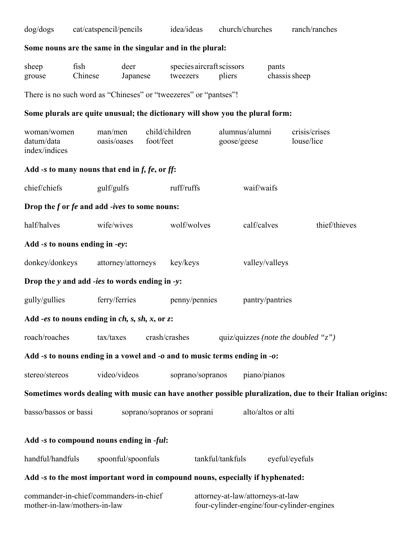| dog/dogs                                                                                                  |                 |                        | cat/catspencil/pencils |           | idea/ideas                  |                                     | church/churches                  |                        | ranch/ranches                              |               |  |
|-----------------------------------------------------------------------------------------------------------|-----------------|------------------------|------------------------|-----------|-----------------------------|-------------------------------------|----------------------------------|------------------------|--------------------------------------------|---------------|--|
| Some nouns are the same in the singular and in the plural:                                                |                 |                        |                        |           |                             |                                     |                                  |                        |                                            |               |  |
| sheep<br>grouse                                                                                           | fish<br>Chinese |                        | deer<br>Japanese       |           | tweezers                    | species aircraft scissors<br>pliers |                                  | pants<br>chassis sheep |                                            |               |  |
| There is no such word as "Chineses" or "tweezeres" or "pantses"!                                          |                 |                        |                        |           |                             |                                     |                                  |                        |                                            |               |  |
| Some plurals are quite unusual; the dictionary will show you the plural form:                             |                 |                        |                        |           |                             |                                     |                                  |                        |                                            |               |  |
| woman/women<br>datum/data<br>index/indices                                                                |                 | man/men<br>oasis/oases |                        | foot/feet | child/children              | goose/geese                         | alumnus/alumni                   |                        | crisis/crises<br>louse/lice                |               |  |
| Add -s to many nouns that end in $f$ , $fe$ , or $ff$ :                                                   |                 |                        |                        |           |                             |                                     |                                  |                        |                                            |               |  |
| chief/chiefs                                                                                              |                 | gulf/gulfs             |                        |           | ruff/ruffs                  |                                     | waif/waifs                       |                        |                                            |               |  |
| Drop the f or fe and add -ives to some nouns:                                                             |                 |                        |                        |           |                             |                                     |                                  |                        |                                            |               |  |
| half/halves                                                                                               |                 | wife/wives             |                        |           | wolf/wolves                 |                                     | calf/calves                      |                        |                                            | thief/thieves |  |
| Add -s to nouns ending in -ey:                                                                            |                 |                        |                        |           |                             |                                     |                                  |                        |                                            |               |  |
| donkey/donkeys                                                                                            |                 |                        | attorney/attorneys     |           | key/keys                    |                                     | valley/valleys                   |                        |                                            |               |  |
| Drop the y and add -ies to words ending in -y:                                                            |                 |                        |                        |           |                             |                                     |                                  |                        |                                            |               |  |
| gully/gullies                                                                                             |                 | ferry/ferries          |                        |           | penny/pennies               |                                     |                                  | pantry/pantries        |                                            |               |  |
| Add -es to nouns ending in $ch$ , s, sh, x, or z:                                                         |                 |                        |                        |           |                             |                                     |                                  |                        |                                            |               |  |
| roach/roaches                                                                                             |                 | tax/taxes              |                        |           | crash/crashes               |                                     |                                  |                        | quiz/quizzes (note the doubled "z")        |               |  |
| Add -s to nouns ending in a vowel and -o and to music terms ending in -o:                                 |                 |                        |                        |           |                             |                                     |                                  |                        |                                            |               |  |
| stereo/stereos                                                                                            |                 | video/videos           |                        |           | soprano/sopranos            |                                     | piano/pianos                     |                        |                                            |               |  |
| Sometimes words dealing with music can have another possible pluralization, due to their Italian origins: |                 |                        |                        |           |                             |                                     |                                  |                        |                                            |               |  |
| basso/bassos or bassi                                                                                     |                 |                        |                        |           | soprano/sopranos or soprani |                                     |                                  | alto/altos or alti     |                                            |               |  |
| Add -s to compound nouns ending in -ful:                                                                  |                 |                        |                        |           |                             |                                     |                                  |                        |                                            |               |  |
| handful/handfuls                                                                                          |                 |                        | spoonful/spoonfuls     |           |                             | tankful/tankfuls                    |                                  |                        | eyeful/eyefuls                             |               |  |
| Add -s to the most important word in compound nouns, especially if hyphenated:                            |                 |                        |                        |           |                             |                                     |                                  |                        |                                            |               |  |
| commander-in-chief/commanders-in-chief<br>mother-in-law/mothers-in-law                                    |                 |                        |                        |           |                             |                                     | attorney-at-law/attorneys-at-law |                        | four-cylinder-engine/four-cylinder-engines |               |  |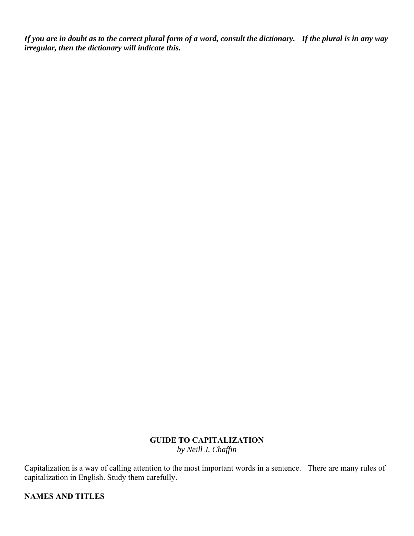*If you are in doubt as to the correct plural form of a word, consult the dictionary. If the plural is in any way irregular, then the dictionary will indicate this.*

### **GUIDE TO CAPITALIZATION** *by Neill J. Chaffin*

Capitalization is a way of calling attention to the most important words in a sentence. There are many rules of capitalization in English. Study them carefully.

**NAMES AND TITLES**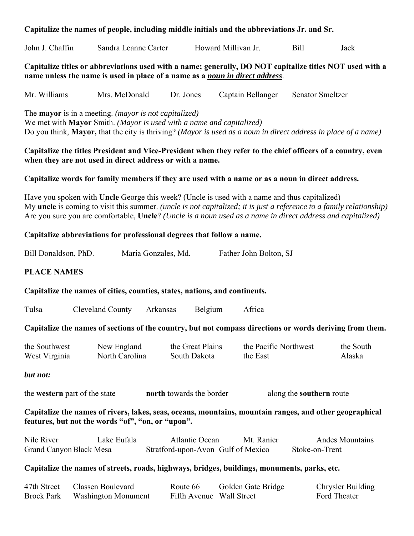### **Capitalize the names of people, including middle initials and the abbreviations Jr. and Sr.**

| John J.<br>Sandra Leanne!<br>∠arter<br>haffin: | Howard Millivan Jr. |  | Jack |
|------------------------------------------------|---------------------|--|------|
|------------------------------------------------|---------------------|--|------|

**Capitalize titles or abbreviations used with a name; generally, DO NOT capitalize titles NOT used with a name unless the name is used in place of a name as a** *noun in direct address*.

Mr. Williams Mrs. McDonald Dr. Jones Captain Bellanger Senator Smeltzer

The **mayor** is in a meeting. *(mayor is not capitalized)*

We met with **Mayor** Smith. *(Mayor is used with a name and capitalized)* Do you think, **Mayor,** that the city is thriving? *(Mayor is used as a noun in direct address in place of a name)*

### **Capitalize the titles President and Vice-President when they refer to the chief officers of a country, even when they are not used in direct address or with a name.**

#### **Capitalize words for family members if they are used with a name or as a noun in direct address.**

Have you spoken with **Uncle** George this week? (Uncle is used with a name and thus capitalized) My **uncle** is coming to visit this summer. *(uncle is not capitalized; it is just a reference to a family relationship)* Are you sure you are comfortable, **Uncle**? *(Uncle is a noun used as a name in direct address and capitalized)*

#### **Capitalize abbreviations for professional degrees that follow a name.**

| Bill Donaldson, PhD. | Maria Gonzales, Md. | Father John Bolton, SJ |
|----------------------|---------------------|------------------------|
|----------------------|---------------------|------------------------|

### **PLACE NAMES**

#### **Capitalize the names of cities, counties, states, nations, and continents.**

Tulsa Cleveland County Arkansas Belgium Africa

#### **Capitalize the names of sections of the country, but not compass directions or words deriving from them.**

| the Southwest | New England    | the Great Plains | the Pacific Northwest | the South |
|---------------|----------------|------------------|-----------------------|-----------|
| West Virginia | North Carolina | South Dakota     | the East              | Alaska    |

#### *but not:*

the **western** part of the state **north** towards the border along the **southern** route

**Capitalize the names of rivers, lakes, seas, oceans, mountains, mountain ranges, and other geographical features, but not the words "of", "on, or "upon".**

| Nile River              | Lake Eufala | Atlantic Ocean                     | Mt. Ranier | Andes Mountains |
|-------------------------|-------------|------------------------------------|------------|-----------------|
| Grand Canyon Black Mesa |             | Stratford-upon-Avon Gulf of Mexico |            | Stoke-on-Trent  |

#### **Capitalize the names of streets, roads, highways, bridges, buildings, monuments, parks, etc.**

| 47th Street       | Classen Boulevard          | Route 66                 | Golden Gate Bridge | <b>Chrysler Building</b> |
|-------------------|----------------------------|--------------------------|--------------------|--------------------------|
| <b>Brock Park</b> | <b>Washington Monument</b> | Fifth Avenue Wall Street |                    | Ford Theater             |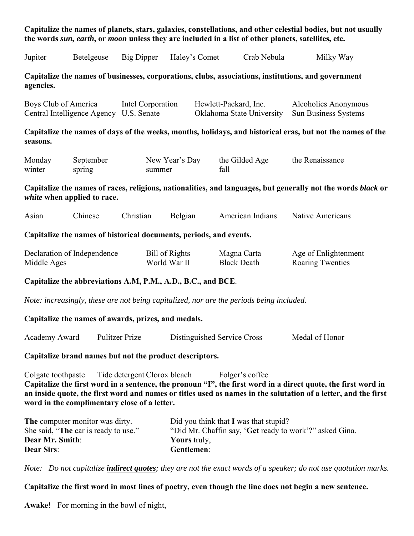### **Capitalize the names of planets, stars, galaxies, constellations, and other celestial bodies, but not usually the words** *sun, earth***, or** *moon* **unless they are included in a list of other planets, satellites, etc.**

| Jupiter                                                                                                                                                                                                                                           | Betelgeuse                                                                               | Big Dipper                   | Haley's Comet                         |                             | Crab Nebula                       | Milky Way                                                                                                                                                                                                                       |  |  |
|---------------------------------------------------------------------------------------------------------------------------------------------------------------------------------------------------------------------------------------------------|------------------------------------------------------------------------------------------|------------------------------|---------------------------------------|-----------------------------|-----------------------------------|---------------------------------------------------------------------------------------------------------------------------------------------------------------------------------------------------------------------------------|--|--|
| agencies.                                                                                                                                                                                                                                         |                                                                                          |                              |                                       |                             |                                   | Capitalize the names of businesses, corporations, clubs, associations, institutions, and government                                                                                                                             |  |  |
| Boys Club of America                                                                                                                                                                                                                              | Central Intelligence Agency U.S. Senate                                                  | Intel Corporation            |                                       | Hewlett-Packard, Inc.       | Oklahoma State University         | Alcoholics Anonymous<br>Sun Business Systems                                                                                                                                                                                    |  |  |
| seasons.                                                                                                                                                                                                                                          |                                                                                          |                              |                                       |                             |                                   | Capitalize the names of days of the weeks, months, holidays, and historical eras, but not the names of the                                                                                                                      |  |  |
| Monday<br>winter                                                                                                                                                                                                                                  | September<br>spring                                                                      | summer                       | New Year's Day                        | fall                        | the Gilded Age                    | the Renaissance                                                                                                                                                                                                                 |  |  |
| Capitalize the names of races, religions, nationalities, and languages, but generally not the words black or<br>white when applied to race.                                                                                                       |                                                                                          |                              |                                       |                             |                                   |                                                                                                                                                                                                                                 |  |  |
| Asian                                                                                                                                                                                                                                             | Chinese                                                                                  | Christian                    | Belgian                               |                             | American Indians                  | <b>Native Americans</b>                                                                                                                                                                                                         |  |  |
| Capitalize the names of historical documents, periods, and events.                                                                                                                                                                                |                                                                                          |                              |                                       |                             |                                   |                                                                                                                                                                                                                                 |  |  |
| Middle Ages                                                                                                                                                                                                                                       | Declaration of Independence                                                              |                              | <b>Bill of Rights</b><br>World War II |                             | Magna Carta<br><b>Black Death</b> | Age of Enlightenment<br><b>Roaring Twenties</b>                                                                                                                                                                                 |  |  |
|                                                                                                                                                                                                                                                   | Capitalize the abbreviations A.M, P.M., A.D., B.C., and BCE.                             |                              |                                       |                             |                                   |                                                                                                                                                                                                                                 |  |  |
|                                                                                                                                                                                                                                                   | Note: increasingly, these are not being capitalized, nor are the periods being included. |                              |                                       |                             |                                   |                                                                                                                                                                                                                                 |  |  |
|                                                                                                                                                                                                                                                   | Capitalize the names of awards, prizes, and medals.                                      |                              |                                       |                             |                                   |                                                                                                                                                                                                                                 |  |  |
| Academy Award                                                                                                                                                                                                                                     |                                                                                          | <b>Pulitzer Prize</b>        |                                       | Distinguished Service Cross |                                   | Medal of Honor                                                                                                                                                                                                                  |  |  |
|                                                                                                                                                                                                                                                   | Capitalize brand names but not the product descriptors.                                  |                              |                                       |                             |                                   |                                                                                                                                                                                                                                 |  |  |
| Colgate toothpaste                                                                                                                                                                                                                                | word in the complimentary close of a letter.                                             | Tide detergent Clorox bleach |                                       |                             | Folger's coffee                   | Capitalize the first word in a sentence, the pronoun "I", the first word in a direct quote, the first word in<br>an inside quote, the first word and names or titles used as names in the salutation of a letter, and the first |  |  |
| The computer monitor was dirty.<br>Did you think that I was that stupid?<br>She said, "The car is ready to use."<br>"Did Mr. Chaffin say, 'Get ready to work'?" asked Gina.<br>Dear Mr. Smith:<br>Yours truly,<br><b>Dear Sirs:</b><br>Gentlemen: |                                                                                          |                              |                                       |                             |                                   |                                                                                                                                                                                                                                 |  |  |

*Note: Do not capitalize indirect quotes; they are not the exact words of a speaker; do not use quotation marks.* 

### **Capitalize the first word in most lines of poetry, even though the line does not begin a new sentence.**

**Awake**! For morning in the bowl of night,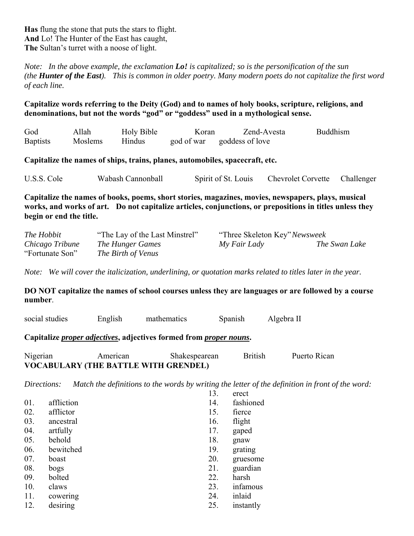*Note: In the above example, the exclamation Lo! is capitalized; so is the personification of the sun (the Hunter of the East). This is common in older poetry. Many modern poets do not capitalize the first word of each line.*

**Capitalize words referring to the Deity (God) and to names of holy books, scripture, religions, and denominations, but not the words "god" or "goddess" used in a mythological sense.**

| God             | Allah   | Holy Bible | Koran | Zend-Avesta                | Buddhism |
|-----------------|---------|------------|-------|----------------------------|----------|
| <b>Baptists</b> | Moslems | Hindus     |       | god of war goddess of love |          |

**Capitalize the names of ships, trains, planes, automobiles, spacecraft, etc.**

U.S.S. Cole Wabash Cannonball Spirit of St. Louis Chevrolet Corvette Challenger

**Capitalize the names of books, poems, short stories, magazines, movies, newspapers, plays, musical works, and works of art. Do not capitalize articles, conjunctions, or prepositions in titles unless they begin or end the title.**

| The Hobbit      | "The Lay of the Last Minstrel" | "Three Skeleton Key" Newsweek |               |
|-----------------|--------------------------------|-------------------------------|---------------|
| Chicago Tribune | The Hunger Games               | My Fair Lady                  | The Swan Lake |
| "Fortunate Son" | The Birth of Venus             |                               |               |

*Note: We will cover the italicization, underlining, or quotation marks related to titles later in the year.*

**DO NOT capitalize the names of school courses unless they are languages or are followed by a course number**.

| social studies | English | mathematics | Spanish | Algebra L |
|----------------|---------|-------------|---------|-----------|
|----------------|---------|-------------|---------|-----------|

**Capitalize** *proper adjectives***, adjectives formed from** *proper nouns***.**

Nigerian American Shakespearean British Puerto Rican **VOCABULARY (THE BATTLE WITH GRENDEL)**

*Directions: Match the definitions to the words by writing the letter of the definition in front of the word:*

|     |            | 13. | erect     |
|-----|------------|-----|-----------|
| 01. | affliction | 14. | fashioned |
| 02. | afflictor  | 15. | fierce    |
| 03. | ancestral  | 16. | flight    |
| 04. | artfully   | 17. | gaped     |
| 05. | behold     | 18. | gnaw      |
| 06. | bewitched  | 19. | grating   |
| 07. | boast      | 20. | gruesome  |
| 08. | bogs       | 21. | guardian  |
| 09. | bolted     | 22. | harsh     |
| 10. | claws      | 23. | infamous  |
| 11. | cowering   | 24. | inlaid    |
| 12. | desiring   | 25. | instantly |
|     |            |     |           |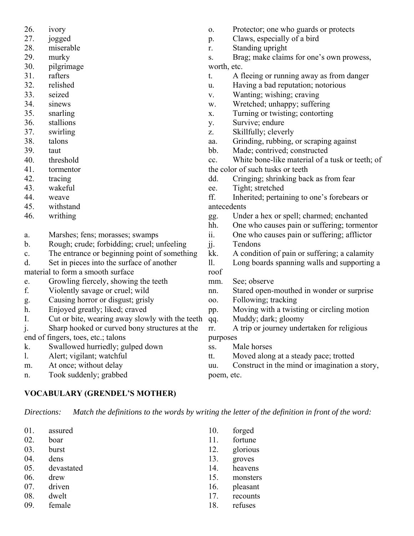- 26. ivory
- 27. jogged
- 28. miserable
- 29. murky
- 30. pilgrimage
- 31. rafters
- 32. relished
- 33. seized
- 34. sinews
- 35. snarling
- 36. stallions
- 37. swirling
- 38. talons
- 39. taut
- 40. threshold
- 41. tormentor
- 42. tracing
- 43. wakeful
- 44. weave
- 45. withstand
- 46. writhing
- a. Marshes; fens; morasses; swamps
- b. Rough; crude; forbidding; cruel; unfeeling
- c. The entrance or beginning point of something
- d. Set in pieces into the surface of another

material to form a smooth surface

- e. Growling fiercely, showing the teeth
- f. Violently savage or cruel; wild
- g. Causing horror or disgust; grisly
- h. Enjoyed greatly; liked; craved
- I. Cut or bite, wearing away slowly with the teeth
- j. Sharp hooked or curved bony structures at the

end of fingers, toes, etc.; talons

- k. Swallowed hurriedly; gulped down
- l. Alert; vigilant; watchful
- m. At once; without delay
- n. Took suddenly; grabbed

### **VOCABULARY (GRENDEL'S MOTHER)**

*Directions: Match the definitions to the words by writing the letter of the definition in front of the word:*

01. assured 02. boar 03. burst 04. dens 05. devastated 06. drew 07. driven 08. dwelt 09. female 10. forged 11. fortune 13. groves 17. recounts 18. refuses

- o. Protector; one who guards or protects
- p. Claws, especially of a bird
- r. Standing upright

s. Brag; make claims for one's own prowess, worth, etc.

- t. A fleeing or running away as from danger
- u. Having a bad reputation; notorious
- v. Wanting; wishing; craving
- w. Wretched; unhappy; suffering
- x. Turning or twisting; contorting
- y. Survive; endure
- z. Skillfully; cleverly
- aa. Grinding, rubbing, or scraping against
- bb. Made; contrived; constructed
- cc. White bone-like material of a tusk or teeth; of the color of such tusks or teeth
- dd. Cringing; shrinking back as from fear
- ee. Tight; stretched

ff. Inherited; pertaining to one's forebears or antecedents

- gg. Under a hex or spell; charmed; enchanted
- hh. One who causes pain or suffering; tormentor
- ii. One who causes pain or suffering; afflictor jj. Tendons
- kk. A condition of pain or suffering; a calamity
- ll. Long boards spanning walls and supporting a roof
- mm. See; observe
- nn. Stared open-mouthed in wonder or surprise
- oo. Following; tracking
- pp. Moving with a twisting or circling motion
- qq. Muddy; dark; gloomy
- rr. A trip or journey undertaken for religious purposes
- ss. Male horses
- tt. Moved along at a steady pace; trotted
- uu. Construct in the mind or imagination a story, poem, etc.

- 
- 12. glorious
- 14. heavens
- 15. monsters
- 16. pleasant
-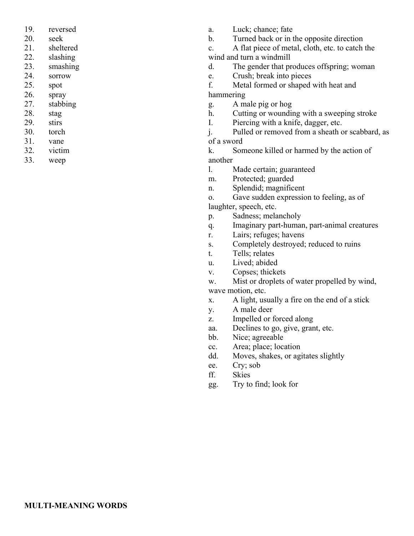- 19. reversed
- 20. seek
- 21. sheltered
- 22. slashing
- 23. smashing
- 24. sorrow
- 25. spot
- 26. spray
- 27. stabbing
- 28. stag
- 29. stirs
- 30. torch
- 31. vane
- 32. victim
- 33. weep
- a. Luck; chance; fate
- b. Turned back or in the opposite direction
- c. A flat piece of metal, cloth, etc. to catch the wind and turn a windmill
- d. The gender that produces offspring; woman
- e. Crush; break into pieces

f. Metal formed or shaped with heat and hammering

- g. A male pig or hog
- h. Cutting or wounding with a sweeping stroke
- I. Piercing with a knife, dagger, etc.

j. Pulled or removed from a sheath or scabbard, as of a sword

k. Someone killed or harmed by the action of another

- l. Made certain; guaranteed
- m. Protected; guarded
- n. Splendid; magnificent

o. Gave sudden expression to feeling, as of laughter, speech, etc.

- p. Sadness; melancholy
- q. Imaginary part-human, part-animal creatures
- r. Lairs; refuges; havens
- s. Completely destroyed; reduced to ruins
- t. Tells; relates
- u. Lived; abided
- v. Copses; thickets

w. Mist or droplets of water propelled by wind, wave motion, etc.

- x. A light, usually a fire on the end of a stick
- y. A male deer
- z. Impelled or forced along
- aa. Declines to go, give, grant, etc.
- bb. Nice; agreeable
- cc. Area; place; location
- dd. Moves, shakes, or agitates slightly
- ee. Cry; sob
- ff. Skies
- gg. Try to find; look for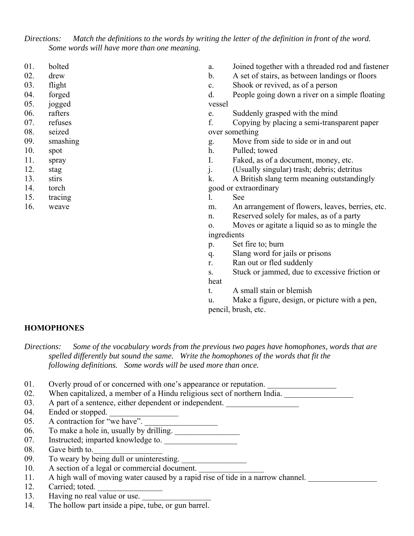*Directions: Match the definitions to the words by writing the letter of the definition in front of the word. Some words will have more than one meaning.*

- 01. bolted
- 02. drew
- 03. flight
- 04. forged
- 05. jogged
- 06. rafters
- 07. refuses
- 08. seized
- 09. smashing
- 10. spot
- 11. spray
- 12. stag
- 13. stirs
- 14. torch
- 15. tracing
- 16. weave
- a. Joined together with a threaded rod and fastener
- b. A set of stairs, as between landings or floors
- c. Shook or revived, as of a person
- d. People going down a river on a simple floating vessel
- e. Suddenly grasped with the mind
- f. Copying by placing a semi-transparent paper over something
- g. Move from side to side or in and out
- h. Pulled; towed
- I. Faked, as of a document, money, etc.
- j. (Usually singular) trash; debris; detritus
- k. A British slang term meaning outstandingly
- good or extraordinary
- l. See
- m. An arrangement of flowers, leaves, berries, etc.
- n. Reserved solely for males, as of a party
- o. Moves or agitate a liquid so as to mingle the ingredients
- p. Set fire to; burn
- q. Slang word for jails or prisons
- r. Ran out or fled suddenly
- s. Stuck or jammed, due to excessive friction or heat
- t. A small stain or blemish
- u. Make a figure, design, or picture with a pen, pencil, brush, etc.

#### **HOMOPHONES**

*Directions: Some of the vocabulary words from the previous two pages have homophones, words that are spelled differently but sound the same. Write the homophones of the words that fit the following definitions. Some words will be used more than once.*

- 01. Overly proud of or concerned with one's appearance or reputation.
- 02. When capitalized, a member of a Hindu religious sect of northern India.
- 03. A part of a sentence, either dependent or independent.
- 04. Ended or stopped.
- $05.$  A contraction for "we have".
- 06. To make a hole in, usually by drilling.
- 07. Instructed; imparted knowledge to.
- 08. Gave birth to.
- 09. To weary by being dull or uninteresting.
- 10. A section of a legal or commercial document.
- 11. A high wall of moving water caused by a rapid rise of tide in a narrow channel.
- 12. Carried; toted.
- 13. Having no real value or use.
- 14. The hollow part inside a pipe, tube, or gun barrel.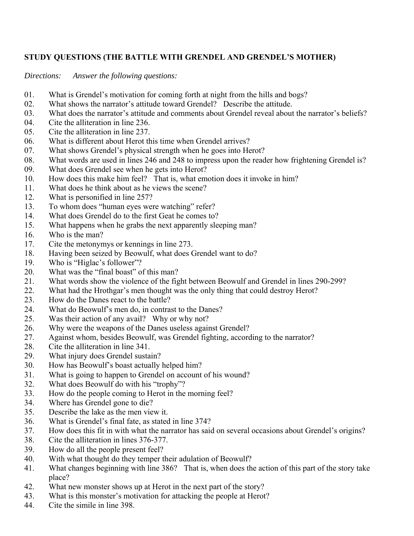# **STUDY QUESTIONS (THE BATTLE WITH GRENDEL AND GRENDEL'S MOTHER)**

*Directions: Answer the following questions:*

- 01. What is Grendel's motivation for coming forth at night from the hills and bogs?
- 02. What shows the narrator's attitude toward Grendel? Describe the attitude.
- 03. What does the narrator's attitude and comments about Grendel reveal about the narrator's beliefs?
- 04. Cite the alliteration in line 236.
- 05. Cite the alliteration in line 237.
- 06. What is different about Herot this time when Grendel arrives?
- 07. What shows Grendel's physical strength when he goes into Herot?
- 08. What words are used in lines 246 and 248 to impress upon the reader how frightening Grendel is?
- 09. What does Grendel see when he gets into Herot?
- 10. How does this make him feel? That is, what emotion does it invoke in him?
- 11. What does he think about as he views the scene?
- 12. What is personified in line 257?
- 13. To whom does "human eyes were watching" refer?
- 14. What does Grendel do to the first Geat he comes to?
- 15. What happens when he grabs the next apparently sleeping man?
- 16. Who is the man?
- 17. Cite the metonymys or kennings in line 273.
- 18. Having been seized by Beowulf, what does Grendel want to do?
- 19. Who is "Higlac's follower"?
- 20. What was the "final boast" of this man?
- 21. What words show the violence of the fight between Beowulf and Grendel in lines 290-299?
- 22. What had the Hrothgar's men thought was the only thing that could destroy Herot?
- 23. How do the Danes react to the battle?
- 24. What do Beowulf's men do, in contrast to the Danes?
- 25. Was their action of any avail? Why or why not?
- 26. Why were the weapons of the Danes useless against Grendel?
- 27. Against whom, besides Beowulf, was Grendel fighting, according to the narrator?
- 28. Cite the alliteration in line 341.
- 29. What injury does Grendel sustain?
- 30. How has Beowulf's boast actually helped him?
- 31. What is going to happen to Grendel on account of his wound?
- 32. What does Beowulf do with his "trophy"?
- 33. How do the people coming to Herot in the morning feel?
- 34. Where has Grendel gone to die?
- 35. Describe the lake as the men view it.
- 36. What is Grendel's final fate, as stated in line 374?
- 37. How does this fit in with what the narrator has said on several occasions about Grendel's origins?
- 38. Cite the alliteration in lines 376-377.
- 39. How do all the people present feel?
- 40. With what thought do they temper their adulation of Beowulf?
- 41. What changes beginning with line 386? That is, when does the action of this part of the story take place?
- 42. What new monster shows up at Herot in the next part of the story?
- 43. What is this monster's motivation for attacking the people at Herot?
- 44. Cite the simile in line 398.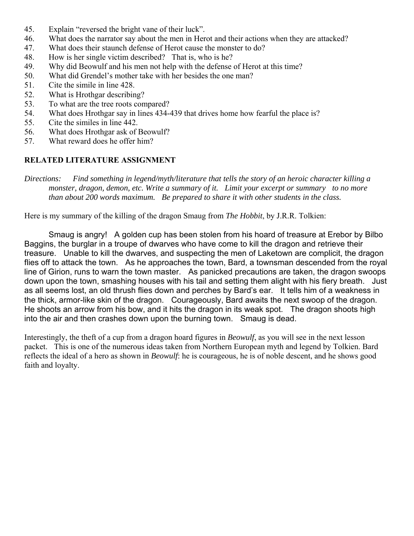- 45. Explain "reversed the bright vane of their luck".
- 46. What does the narrator say about the men in Herot and their actions when they are attacked?
- 47. What does their staunch defense of Herot cause the monster to do?
- 48. How is her single victim described? That is, who is he?
- 49. Why did Beowulf and his men not help with the defense of Herot at this time?
- 50. What did Grendel's mother take with her besides the one man?
- 51. Cite the simile in line 428.
- 52. What is Hrothgar describing?
- 53. To what are the tree roots compared?
- 54. What does Hrothgar say in lines 434-439 that drives home how fearful the place is?
- 55. Cite the similes in line 442.
- 56. What does Hrothgar ask of Beowulf?
- 57. What reward does he offer him?

### **RELATED LITERATURE ASSIGNMENT**

*Directions: Find something in legend/myth/literature that tells the story of an heroic character killing a monster, dragon, demon, etc. Write a summary of it. Limit your excerpt or summary to no more than about 200 words maximum. Be prepared to share it with other students in the class.*

Here is my summary of the killing of the dragon Smaug from *The Hobbit*, by J.R.R. Tolkien:

Smaug is angry! A golden cup has been stolen from his hoard of treasure at Erebor by Bilbo Baggins, the burglar in a troupe of dwarves who have come to kill the dragon and retrieve their treasure. Unable to kill the dwarves, and suspecting the men of Laketown are complicit, the dragon flies off to attack the town. As he approaches the town, Bard, a townsman descended from the royal line of Girion, runs to warn the town master. As panicked precautions are taken, the dragon swoops down upon the town, smashing houses with his tail and setting them alight with his fiery breath. Just as all seems lost, an old thrush flies down and perches by Bard's ear. It tells him of a weakness in the thick, armor-like skin of the dragon. Courageously, Bard awaits the next swoop of the dragon. He shoots an arrow from his bow, and it hits the dragon in its weak spot. The dragon shoots high into the air and then crashes down upon the burning town. Smaug is dead.

Interestingly, the theft of a cup from a dragon hoard figures in *Beowulf*, as you will see in the next lesson packet. This is one of the numerous ideas taken from Northern European myth and legend by Tolkien. Bard reflects the ideal of a hero as shown in *Beowulf*: he is courageous, he is of noble descent, and he shows good faith and loyalty.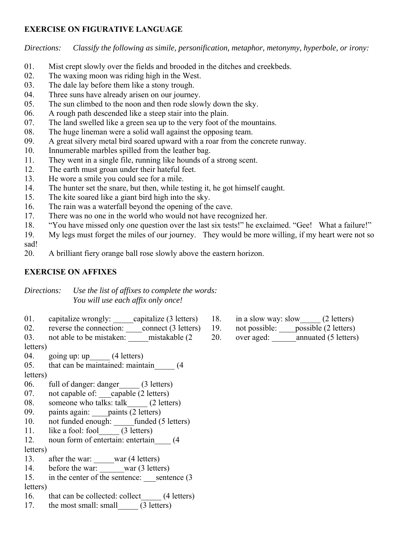### **EXERCISE ON FIGURATIVE LANGUAGE**

*Directions: Classify the following as simile, personification, metaphor, metonymy, hyperbole, or irony:*

- 01. Mist crept slowly over the fields and brooded in the ditches and creekbeds.
- 02. The waxing moon was riding high in the West.
- 03. The dale lay before them like a stony trough.
- 04. Three suns have already arisen on our journey.
- 05. The sun climbed to the noon and then rode slowly down the sky.
- 06. A rough path descended like a steep stair into the plain.
- 07. The land swelled like a green sea up to the very foot of the mountains.
- 08. The huge lineman were a solid wall against the opposing team.
- 09. A great silvery metal bird soared upward with a roar from the concrete runway.
- 10. Innumerable marbles spilled from the leather bag.
- 11. They went in a single file, running like hounds of a strong scent.
- 12. The earth must groan under their hateful feet.
- 13. He wore a smile you could see for a mile.
- 14. The hunter set the snare, but then, while testing it, he got himself caught.
- 15. The kite soared like a giant bird high into the sky.
- 16. The rain was a waterfall beyond the opening of the cave.
- 17. There was no one in the world who would not have recognized her.
- 18. "You have missed only one question over the last six tests!" he exclaimed. "Gee! What a failure!"
- 19. My legs must forget the miles of our journey. They would be more willing, if my heart were not so sad!
- 20. A brilliant fiery orange ball rose slowly above the eastern horizon.

# **EXERCISE ON AFFIXES**

*Directions: Use the list of affixes to complete the words: You will use each affix only once!*

- 01. capitalize wrongly: \_\_\_\_\_capitalize (3 letters)
- 02. reverse the connection: connect (3 letters)

03. not able to be mistaken: mistakable (2 letters)

04. going up: up (4 letters)

- 05. that can be maintained: maintain (4)
- letters)
- 06. full of danger: danger (3 letters)
- 07. not capable of: capable (2 letters)
- 08. someone who talks: talk\_\_\_\_\_ (2 letters)
- 09. paints again: paints (2 letters)
- 10. not funded enough: funded (5 letters)
- 11. like a fool: fool\_\_\_\_\_ (3 letters)
- 12. noun form of entertain: entertain (4) letters)
- 13. after the war: war (4 letters)
- 14. before the war: war (3 letters)
- 15. in the center of the sentence: sentence (3) letters)
- 16. that can be collected: collect (4 letters)
- 17. the most small: small (3 letters)
- 18. in a slow way: slow (2 letters)
- 19. not possible: possible (2 letters)
- 20. over aged: \_\_\_\_\_\_annuated (5 letters)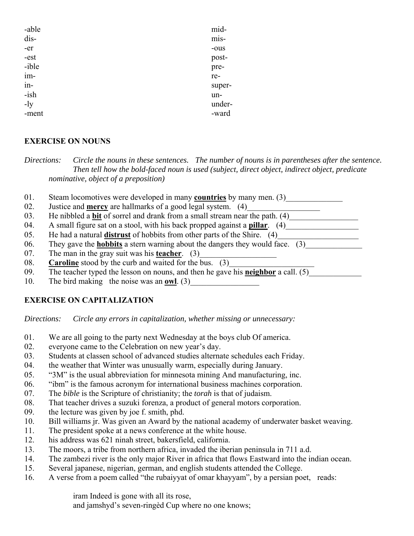| -able | mid-   |
|-------|--------|
| dis-  | mis-   |
| -er   | -ous   |
| -est  | post-  |
| -ible | pre-   |
| im-   | re-    |
| in-   | super- |
| -ish  | un-    |
| $-1y$ | under- |
| -ment | -ward  |

### **EXERCISE ON NOUNS**

*Directions: Circle the nouns in these sentences. The number of nouns is in parentheses after the sentence. Then tell how the bold-faced noun is used (subject, direct object, indirect object, predicate nominative, object of a preposition)*

- 01. Steam locomotives were developed in many **countries** by many men. (3)
- 02. Justice and **mercy** are hallmarks of a good legal system. (4)
- 03. He nibbled a **bit** of sorrel and drank from a small stream near the path. (4)
- 04. A small figure sat on a stool, with his back propped against a **pillar**. (4)
- 05. He had a natural **distrust** of hobbits from other parts of the Shire. (4)\_\_\_\_\_\_\_\_\_\_\_\_\_\_\_\_\_\_\_\_
- 06. They gave the **hobbits** a stern warning about the dangers they would face. (3)
- 07. The man in the gray suit was his **teacher**. (3)
- 08. **Caroline** stood by the curb and waited for the bus. (3)
- 09. The teacher typed the lesson on nouns, and then he gave his **neighbor** a call. (5)
- 10. The bird making the noise was an **owl**. (3)

# **EXERCISE ON CAPITALIZATION**

*Directions: Circle any errors in capitalization, whether missing or unnecessary:*

- 01. We are all going to the party next Wednesday at the boys club Of america.
- 02. everyone came to the Celebration on new year's day.
- 03. Students at classen school of advanced studies alternate schedules each Friday.
- 04. the weather that Winter was unusually warm, especially during January.
- 05. "3M" is the usual abbreviation for minnesota mining And manufacturing, inc.
- 06. "ibm" is the famous acronym for international business machines corporation.
- 07. The *bible* is the Scripture of christianity; the *torah* is that of judaism.
- 08. That teacher drives a suzuki forenza, a product of general motors corporation.
- 09. the lecture was given by joe f. smith, phd.
- 10. Bill williams jr. Was given an Award by the national academy of underwater basket weaving.
- 11. The president spoke at a news conference at the white house.
- 12. his address was 621 ninah street, bakersfield, california.
- 13. The moors, a tribe from northern africa, invaded the iberian peninsula in 711 a.d.
- 14. The zambezi river is the only major River in africa that flows Eastward into the indian ocean.
- 15. Several japanese, nigerian, german, and english students attended the College.
- 16. A verse from a poem called "the rubaiyyat of omar khayyam", by a persian poet, reads:

iram Indeed is gone with all its rose,

and jamshyd's seven-ringèd Cup where no one knows;